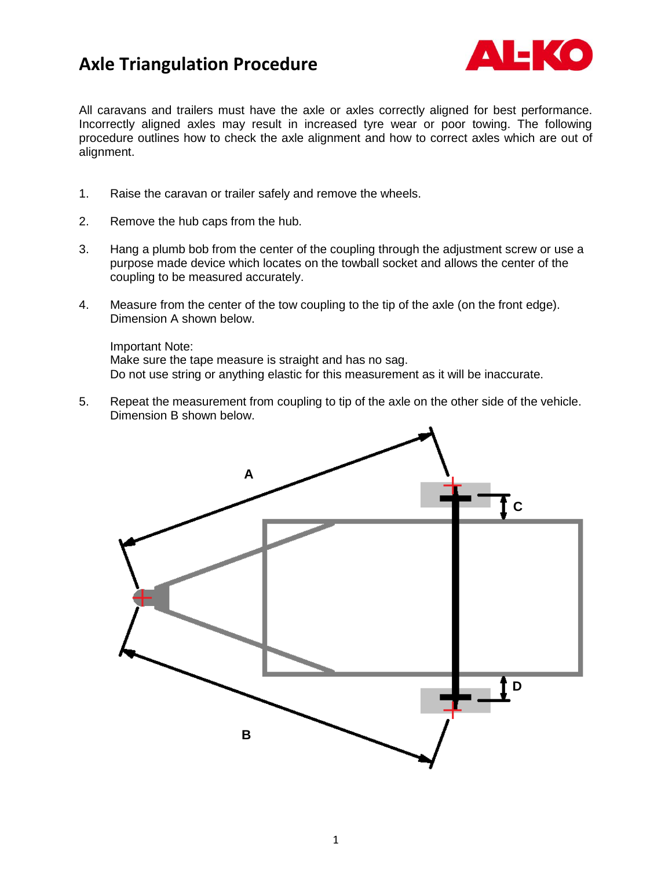## **Axle Triangulation Procedure**



All caravans and trailers must have the axle or axles correctly aligned for best performance. Incorrectly aligned axles may result in increased tyre wear or poor towing. The following procedure outlines how to check the axle alignment and how to correct axles which are out of alignment.

- 1. Raise the caravan or trailer safely and remove the wheels.
- 2. Remove the hub caps from the hub.
- 3. Hang a plumb bob from the center of the coupling through the adjustment screw or use a purpose made device which locates on the towball socket and allows the center of the coupling to be measured accurately.
- 4. Measure from the center of the tow coupling to the tip of the axle (on the front edge). Dimension A shown below.

Important Note: Make sure the tape measure is straight and has no sag. Do not use string or anything elastic for this measurement as it will be inaccurate.

5. Repeat the measurement from coupling to tip of the axle on the other side of the vehicle. Dimension B shown below.